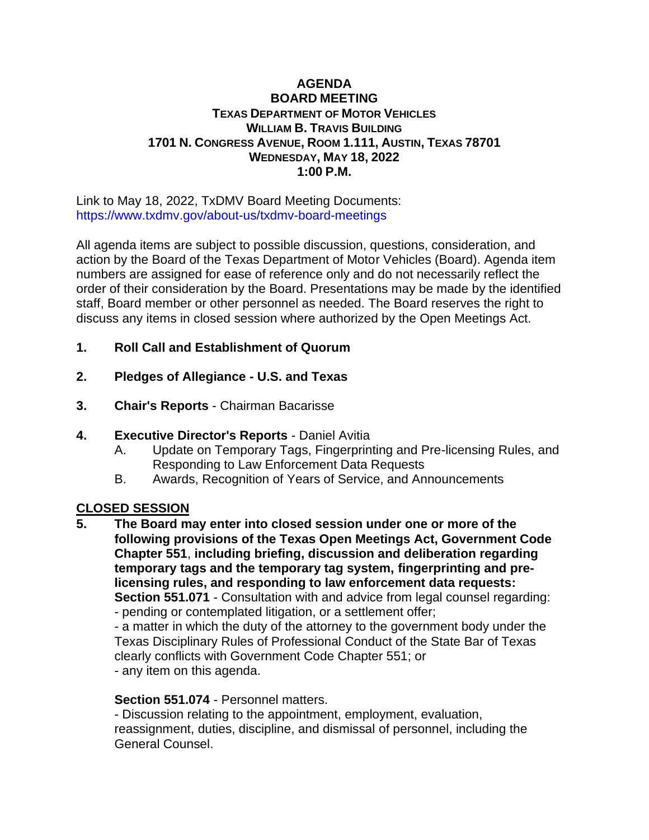### **AGENDA BOARD MEETING TEXAS DEPARTMENT OF MOTOR VEHICLES WILLIAM B. TRAVIS BUILDING 1701 N. CONGRESS AVENUE, ROOM 1.111, AUSTIN, TEXAS 78701 WEDNESDAY, MAY 18, 2022 1:00 P.M.**

Link to May 18, 2022, TxDMV Board Meeting Documents: <https://www.txdmv.gov/about-us/txdmv-board-meetings>

All agenda items are subject to possible discussion, questions, consideration, and action by the Board of the Texas Department of Motor Vehicles (Board). Agenda item numbers are assigned for ease of reference only and do not necessarily reflect the order of their consideration by the Board. Presentations may be made by the identified staff, Board member or other personnel as needed. The Board reserves the right to discuss any items in closed session where authorized by the Open Meetings Act.

- **1. Roll Call and Establishment of Quorum**
- **2. Pledges of Allegiance - U.S. and Texas**
- **3. Chair's Reports** Chairman Bacarisse
- **4. Executive Director's Reports** Daniel Avitia
	- A. Update on Temporary Tags, Fingerprinting and Pre-licensing Rules, and Responding to Law Enforcement Data Requests
	- B. Awards, Recognition of Years of Service, and Announcements

## **CLOSED SESSION**

**5. The Board may enter into closed session under one or more of the following provisions of the Texas Open Meetings Act, Government Code Chapter 551**, **including briefing, discussion and deliberation regarding temporary tags and the temporary tag system, fingerprinting and prelicensing rules, and responding to law enforcement data requests: Section 551.071** - Consultation with and advice from legal counsel regarding: - pending or contemplated litigation, or a settlement offer;

- a matter in which the duty of the attorney to the government body under the Texas Disciplinary Rules of Professional Conduct of the State Bar of Texas clearly conflicts with Government Code Chapter 551; or - any item on this agenda.

# **Section 551.074** - Personnel matters.

- Discussion relating to the appointment, employment, evaluation, reassignment, duties, discipline, and dismissal of personnel, including the General Counsel.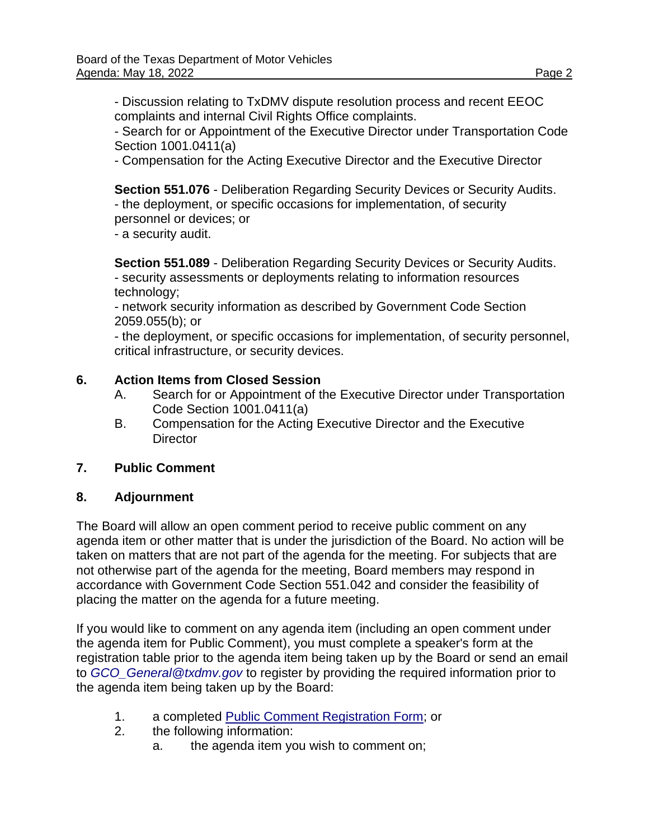- Discussion relating to TxDMV dispute resolution process and recent EEOC complaints and internal Civil Rights Office complaints.

- Search for or Appointment of the Executive Director under Transportation Code Section 1001.0411(a)

- Compensation for the Acting Executive Director and the Executive Director

**Section 551.076** - Deliberation Regarding Security Devices or Security Audits. - the deployment, or specific occasions for implementation, of security personnel or devices; or

- a security audit.

**Section 551.089** - Deliberation Regarding Security Devices or Security Audits. - security assessments or deployments relating to information resources technology;

- network security information as described by Government Code Section 2059.055(b); or

- the deployment, or specific occasions for implementation, of security personnel, critical infrastructure, or security devices.

### **6. Action Items from Closed Session**

- A. Search for or Appointment of the Executive Director under Transportation Code Section 1001.0411(a)
- B. Compensation for the Acting Executive Director and the Executive **Director**

### **7. Public Comment**

### **8. Adjournment**

The Board will allow an open comment period to receive public comment on any agenda item or other matter that is under the jurisdiction of the Board. No action will be taken on matters that are not part of the agenda for the meeting. For subjects that are not otherwise part of the agenda for the meeting, Board members may respond in accordance with Government Code Section 551.042 and consider the feasibility of placing the matter on the agenda for a future meeting.

If you would like to comment on any agenda item (including an open comment under the agenda item for Public Comment), you must complete a speaker's form at the registration table prior to the agenda item being taken up by the Board or send an email to *[GCO\\_General@txdmv.gov](mailto:GCO_General@txdmv.gov)* to register by providing the required information prior to the agenda item being taken up by the Board:

- 1. a completed [Public Comment Registration Form;](https://www.txdmv.gov/sites/default/files/board-meeting/materials/2020.1020%20Public%20Comment%20Registration%20Form.pdf) or
- 2. the following information:
	- a. the agenda item you wish to comment on;